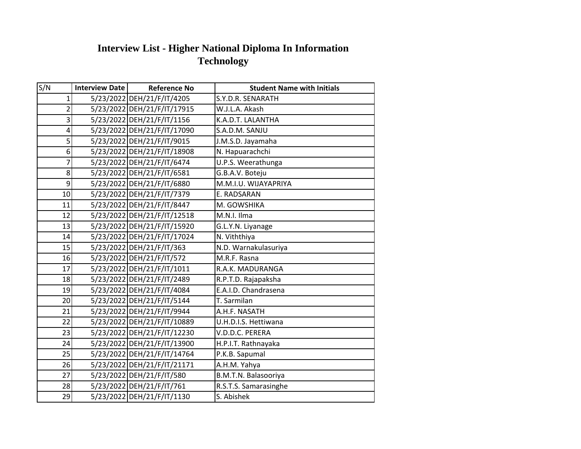## **Interview List - Higher National Diploma In Information Technology**

| S/N                     | <b>Interview Date</b> | <b>Reference No</b>         | <b>Student Name with Initials</b> |
|-------------------------|-----------------------|-----------------------------|-----------------------------------|
| $\mathbf{1}$            |                       | 5/23/2022 DEH/21/F/IT/4205  | S.Y.D.R. SENARATH                 |
| $\overline{2}$          |                       | 5/23/2022 DEH/21/F/IT/17915 | W.J.L.A. Akash                    |
| $\overline{\mathsf{a}}$ |                       | 5/23/2022 DEH/21/F/IT/1156  | K.A.D.T. LALANTHA                 |
| $\vert 4 \vert$         |                       | 5/23/2022 DEH/21/F/IT/17090 | S.A.D.M. SANJU                    |
| $\overline{5}$          |                       | 5/23/2022 DEH/21/F/IT/9015  | J.M.S.D. Jayamaha                 |
| 6 <sup>1</sup>          |                       | 5/23/2022 DEH/21/F/IT/18908 | N. Hapuarachchi                   |
| $\overline{7}$          |                       | 5/23/2022 DEH/21/F/IT/6474  | U.P.S. Weerathunga                |
| 8 <sup>1</sup>          |                       | 5/23/2022 DEH/21/F/IT/6581  | G.B.A.V. Boteju                   |
| $\mathsf{g}$            |                       | 5/23/2022 DEH/21/F/IT/6880  | M.M.I.U. WIJAYAPRIYA              |
| 10 <sup>1</sup>         |                       | 5/23/2022 DEH/21/F/IT/7379  | E. RADSARAN                       |
| 11                      |                       | 5/23/2022 DEH/21/F/IT/8447  | M. GOWSHIKA                       |
| 12                      |                       | 5/23/2022 DEH/21/F/IT/12518 | M.N.I. Ilma                       |
| 13                      |                       | 5/23/2022 DEH/21/F/IT/15920 | G.L.Y.N. Liyanage                 |
| 14                      |                       | 5/23/2022 DEH/21/F/IT/17024 | N. Viththiya                      |
| 15                      |                       | 5/23/2022 DEH/21/F/IT/363   | N.D. Warnakulasuriya              |
| 16                      |                       | 5/23/2022 DEH/21/F/IT/572   | M.R.F. Rasna                      |
| 17                      |                       | 5/23/2022 DEH/21/F/IT/1011  | R.A.K. MADURANGA                  |
| 18                      |                       | 5/23/2022 DEH/21/F/IT/2489  | R.P.T.D. Rajapaksha               |
| 19                      |                       | 5/23/2022 DEH/21/F/IT/4084  | E.A.I.D. Chandrasena              |
| 20 <sup>1</sup>         |                       | 5/23/2022 DEH/21/F/IT/5144  | T. Sarmilan                       |
| 21                      |                       | 5/23/2022 DEH/21/F/IT/9944  | A.H.F. NASATH                     |
| 22                      |                       | 5/23/2022 DEH/21/F/IT/10889 | U.H.D.I.S. Hettiwana              |
| 23                      |                       | 5/23/2022 DEH/21/F/IT/12230 | V.D.D.C. PERERA                   |
| 24                      |                       | 5/23/2022 DEH/21/F/IT/13900 | H.P.I.T. Rathnayaka               |
| 25                      |                       | 5/23/2022 DEH/21/F/IT/14764 | P.K.B. Sapumal                    |
| 26                      |                       | 5/23/2022 DEH/21/F/IT/21171 | A.H.M. Yahya                      |
| 27                      |                       | 5/23/2022 DEH/21/F/IT/580   | B.M.T.N. Balasooriya              |
| 28                      |                       | 5/23/2022 DEH/21/F/IT/761   | R.S.T.S. Samarasinghe             |
| 29                      |                       | 5/23/2022 DEH/21/F/IT/1130  | S. Abishek                        |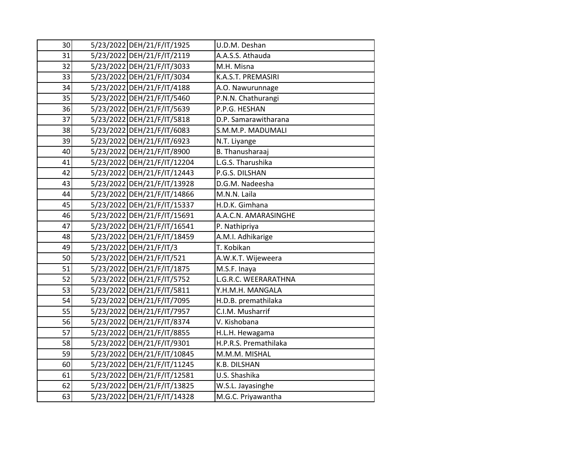| 30 | 5/23/2022 DEH/21/F/IT/1925  | U.D.M. Deshan         |
|----|-----------------------------|-----------------------|
| 31 | 5/23/2022 DEH/21/F/IT/2119  | A.A.S.S. Athauda      |
| 32 | 5/23/2022 DEH/21/F/IT/3033  | M.H. Misna            |
| 33 | 5/23/2022 DEH/21/F/IT/3034  | K.A.S.T. PREMASIRI    |
| 34 | 5/23/2022 DEH/21/F/IT/4188  | A.O. Nawurunnage      |
| 35 | 5/23/2022 DEH/21/F/IT/5460  | P.N.N. Chathurangi    |
| 36 | 5/23/2022 DEH/21/F/IT/5639  | P.P.G. HESHAN         |
| 37 | 5/23/2022 DEH/21/F/IT/5818  | D.P. Samarawitharana  |
| 38 | 5/23/2022 DEH/21/F/IT/6083  | S.M.M.P. MADUMALI     |
| 39 | 5/23/2022 DEH/21/F/IT/6923  | N.T. Liyange          |
| 40 | 5/23/2022 DEH/21/F/IT/8900  | B. Thanusharaaj       |
| 41 | 5/23/2022 DEH/21/F/IT/12204 | L.G.S. Tharushika     |
| 42 | 5/23/2022 DEH/21/F/IT/12443 | P.G.S. DILSHAN        |
| 43 | 5/23/2022 DEH/21/F/IT/13928 | D.G.M. Nadeesha       |
| 44 | 5/23/2022 DEH/21/F/IT/14866 | M.N.N. Laila          |
| 45 | 5/23/2022 DEH/21/F/IT/15337 | H.D.K. Gimhana        |
| 46 | 5/23/2022 DEH/21/F/IT/15691 | A.A.C.N. AMARASINGHE  |
| 47 | 5/23/2022 DEH/21/F/IT/16541 | P. Nathipriya         |
| 48 | 5/23/2022 DEH/21/F/IT/18459 | A.M.I. Adhikarige     |
| 49 | 5/23/2022 DEH/21/F/IT/3     | T. Kobikan            |
| 50 | 5/23/2022 DEH/21/F/IT/521   | A.W.K.T. Wijeweera    |
| 51 | 5/23/2022 DEH/21/F/IT/1875  | M.S.F. Inaya          |
| 52 | 5/23/2022 DEH/21/F/IT/5752  | L.G.R.C. WEERARATHNA  |
| 53 | 5/23/2022 DEH/21/F/IT/5811  | Y.H.M.H. MANGALA      |
| 54 | 5/23/2022 DEH/21/F/IT/7095  | H.D.B. premathilaka   |
| 55 | 5/23/2022 DEH/21/F/IT/7957  | C.I.M. Musharrif      |
| 56 | 5/23/2022 DEH/21/F/IT/8374  | V. Kishobana          |
| 57 | 5/23/2022 DEH/21/F/IT/8855  | H.L.H. Hewagama       |
| 58 | 5/23/2022 DEH/21/F/IT/9301  | H.P.R.S. Premathilaka |
| 59 | 5/23/2022 DEH/21/F/IT/10845 | M.M.M. MISHAL         |
| 60 | 5/23/2022 DEH/21/F/IT/11245 | K.B. DILSHAN          |
| 61 | 5/23/2022 DEH/21/F/IT/12581 | U.S. Shashika         |
| 62 | 5/23/2022 DEH/21/F/IT/13825 | W.S.L. Jayasinghe     |
| 63 | 5/23/2022 DEH/21/F/IT/14328 | M.G.C. Priyawantha    |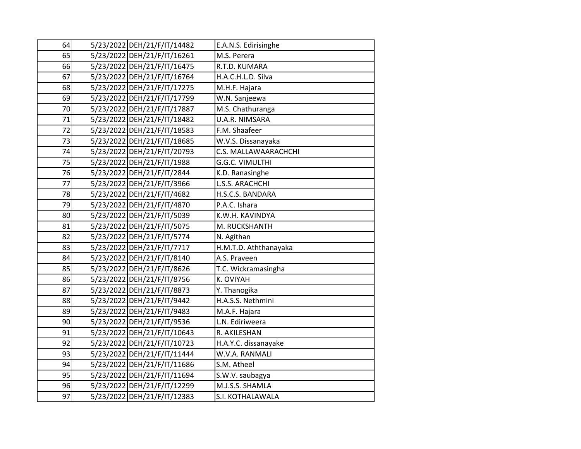| 5/23/2022 DEH/21/F/IT/14482<br>64<br>E.A.N.S. Edirisinghe<br>65<br>5/23/2022 DEH/21/F/IT/16261<br>M.S. Perera<br>5/23/2022 DEH/21/F/IT/16475<br>R.T.D. KUMARA<br>66<br>67<br>5/23/2022 DEH/21/F/IT/16764<br>H.A.C.H.L.D. Silva<br>68<br>5/23/2022 DEH/21/F/IT/17275<br>M.H.F. Hajara<br>69<br>5/23/2022 DEH/21/F/IT/17799<br>W.N. Sanjeewa<br>5/23/2022 DEH/21/F/IT/17887<br>70<br>M.S. Chathuranga<br>5/23/2022 DEH/21/F/IT/18482<br>71<br>U.A.R. NIMSARA<br>5/23/2022 DEH/21/F/IT/18583<br>F.M. Shaafeer<br>72<br>73<br>5/23/2022 DEH/21/F/IT/18685<br>W.V.S. Dissanayaka<br>74<br>5/23/2022 DEH/21/F/IT/20793<br>C.S. MALLAWAARACHCHI<br>5/23/2022 DEH/21/F/IT/1988<br>75<br>G.G.C. VIMULTHI<br>5/23/2022 DEH/21/F/IT/2844<br>76<br>K.D. Ranasinghe<br>77<br>5/23/2022 DEH/21/F/IT/3966<br>L.S.S. ARACHCHI<br>78<br>5/23/2022 DEH/21/F/IT/4682<br>H.S.C.S. BANDARA<br>79<br>5/23/2022 DEH/21/F/IT/4870<br>P.A.C. Ishara<br>80<br>5/23/2022 DEH/21/F/IT/5039<br>K.W.H. KAVINDYA<br>5/23/2022 DEH/21/F/IT/5075<br>81<br>M. RUCKSHANTH<br>82<br>5/23/2022 DEH/21/F/IT/5774<br>N. Agithan<br>83<br>5/23/2022 DEH/21/F/IT/7717<br>H.M.T.D. Aththanayaka<br>84<br>5/23/2022 DEH/21/F/IT/8140<br>A.S. Praveen<br>85<br>5/23/2022 DEH/21/F/IT/8626<br>T.C. Wickramasingha<br>5/23/2022 DEH/21/F/IT/8756<br>K. OVIYAH<br>86<br>5/23/2022 DEH/21/F/IT/8873<br>87<br>Y. Thanogika<br>5/23/2022 DEH/21/F/IT/9442<br>88<br>H.A.S.S. Nethmini<br>89<br>5/23/2022 DEH/21/F/IT/9483<br>M.A.F. Hajara<br>90<br>5/23/2022 DEH/21/F/IT/9536<br>L.N. Ediriweera<br>91<br>5/23/2022 DEH/21/F/IT/10643<br>R. AKILESHAN<br>92<br>5/23/2022 DEH/21/F/IT/10723<br>H.A.Y.C. dissanayake<br>5/23/2022 DEH/21/F/IT/11444<br>93<br>W.V.A. RANMALI<br>94<br>5/23/2022 DEH/21/F/IT/11686<br>S.M. Atheel<br>95<br>5/23/2022 DEH/21/F/IT/11694<br>S.W.V. saubagya<br>5/23/2022 DEH/21/F/IT/12299<br>96<br>M.J.S.S. SHAMLA<br>5/23/2022 DEH/21/F/IT/12383<br>97<br>S.I. KOTHALAWALA |  |  |
|------------------------------------------------------------------------------------------------------------------------------------------------------------------------------------------------------------------------------------------------------------------------------------------------------------------------------------------------------------------------------------------------------------------------------------------------------------------------------------------------------------------------------------------------------------------------------------------------------------------------------------------------------------------------------------------------------------------------------------------------------------------------------------------------------------------------------------------------------------------------------------------------------------------------------------------------------------------------------------------------------------------------------------------------------------------------------------------------------------------------------------------------------------------------------------------------------------------------------------------------------------------------------------------------------------------------------------------------------------------------------------------------------------------------------------------------------------------------------------------------------------------------------------------------------------------------------------------------------------------------------------------------------------------------------------------------------------------------------------------------------------------------------------------------------------------------------------------------------------------------------------------------------------------------------------------------------|--|--|
|                                                                                                                                                                                                                                                                                                                                                                                                                                                                                                                                                                                                                                                                                                                                                                                                                                                                                                                                                                                                                                                                                                                                                                                                                                                                                                                                                                                                                                                                                                                                                                                                                                                                                                                                                                                                                                                                                                                                                      |  |  |
|                                                                                                                                                                                                                                                                                                                                                                                                                                                                                                                                                                                                                                                                                                                                                                                                                                                                                                                                                                                                                                                                                                                                                                                                                                                                                                                                                                                                                                                                                                                                                                                                                                                                                                                                                                                                                                                                                                                                                      |  |  |
|                                                                                                                                                                                                                                                                                                                                                                                                                                                                                                                                                                                                                                                                                                                                                                                                                                                                                                                                                                                                                                                                                                                                                                                                                                                                                                                                                                                                                                                                                                                                                                                                                                                                                                                                                                                                                                                                                                                                                      |  |  |
|                                                                                                                                                                                                                                                                                                                                                                                                                                                                                                                                                                                                                                                                                                                                                                                                                                                                                                                                                                                                                                                                                                                                                                                                                                                                                                                                                                                                                                                                                                                                                                                                                                                                                                                                                                                                                                                                                                                                                      |  |  |
|                                                                                                                                                                                                                                                                                                                                                                                                                                                                                                                                                                                                                                                                                                                                                                                                                                                                                                                                                                                                                                                                                                                                                                                                                                                                                                                                                                                                                                                                                                                                                                                                                                                                                                                                                                                                                                                                                                                                                      |  |  |
|                                                                                                                                                                                                                                                                                                                                                                                                                                                                                                                                                                                                                                                                                                                                                                                                                                                                                                                                                                                                                                                                                                                                                                                                                                                                                                                                                                                                                                                                                                                                                                                                                                                                                                                                                                                                                                                                                                                                                      |  |  |
|                                                                                                                                                                                                                                                                                                                                                                                                                                                                                                                                                                                                                                                                                                                                                                                                                                                                                                                                                                                                                                                                                                                                                                                                                                                                                                                                                                                                                                                                                                                                                                                                                                                                                                                                                                                                                                                                                                                                                      |  |  |
|                                                                                                                                                                                                                                                                                                                                                                                                                                                                                                                                                                                                                                                                                                                                                                                                                                                                                                                                                                                                                                                                                                                                                                                                                                                                                                                                                                                                                                                                                                                                                                                                                                                                                                                                                                                                                                                                                                                                                      |  |  |
|                                                                                                                                                                                                                                                                                                                                                                                                                                                                                                                                                                                                                                                                                                                                                                                                                                                                                                                                                                                                                                                                                                                                                                                                                                                                                                                                                                                                                                                                                                                                                                                                                                                                                                                                                                                                                                                                                                                                                      |  |  |
|                                                                                                                                                                                                                                                                                                                                                                                                                                                                                                                                                                                                                                                                                                                                                                                                                                                                                                                                                                                                                                                                                                                                                                                                                                                                                                                                                                                                                                                                                                                                                                                                                                                                                                                                                                                                                                                                                                                                                      |  |  |
|                                                                                                                                                                                                                                                                                                                                                                                                                                                                                                                                                                                                                                                                                                                                                                                                                                                                                                                                                                                                                                                                                                                                                                                                                                                                                                                                                                                                                                                                                                                                                                                                                                                                                                                                                                                                                                                                                                                                                      |  |  |
|                                                                                                                                                                                                                                                                                                                                                                                                                                                                                                                                                                                                                                                                                                                                                                                                                                                                                                                                                                                                                                                                                                                                                                                                                                                                                                                                                                                                                                                                                                                                                                                                                                                                                                                                                                                                                                                                                                                                                      |  |  |
|                                                                                                                                                                                                                                                                                                                                                                                                                                                                                                                                                                                                                                                                                                                                                                                                                                                                                                                                                                                                                                                                                                                                                                                                                                                                                                                                                                                                                                                                                                                                                                                                                                                                                                                                                                                                                                                                                                                                                      |  |  |
|                                                                                                                                                                                                                                                                                                                                                                                                                                                                                                                                                                                                                                                                                                                                                                                                                                                                                                                                                                                                                                                                                                                                                                                                                                                                                                                                                                                                                                                                                                                                                                                                                                                                                                                                                                                                                                                                                                                                                      |  |  |
|                                                                                                                                                                                                                                                                                                                                                                                                                                                                                                                                                                                                                                                                                                                                                                                                                                                                                                                                                                                                                                                                                                                                                                                                                                                                                                                                                                                                                                                                                                                                                                                                                                                                                                                                                                                                                                                                                                                                                      |  |  |
|                                                                                                                                                                                                                                                                                                                                                                                                                                                                                                                                                                                                                                                                                                                                                                                                                                                                                                                                                                                                                                                                                                                                                                                                                                                                                                                                                                                                                                                                                                                                                                                                                                                                                                                                                                                                                                                                                                                                                      |  |  |
|                                                                                                                                                                                                                                                                                                                                                                                                                                                                                                                                                                                                                                                                                                                                                                                                                                                                                                                                                                                                                                                                                                                                                                                                                                                                                                                                                                                                                                                                                                                                                                                                                                                                                                                                                                                                                                                                                                                                                      |  |  |
|                                                                                                                                                                                                                                                                                                                                                                                                                                                                                                                                                                                                                                                                                                                                                                                                                                                                                                                                                                                                                                                                                                                                                                                                                                                                                                                                                                                                                                                                                                                                                                                                                                                                                                                                                                                                                                                                                                                                                      |  |  |
|                                                                                                                                                                                                                                                                                                                                                                                                                                                                                                                                                                                                                                                                                                                                                                                                                                                                                                                                                                                                                                                                                                                                                                                                                                                                                                                                                                                                                                                                                                                                                                                                                                                                                                                                                                                                                                                                                                                                                      |  |  |
|                                                                                                                                                                                                                                                                                                                                                                                                                                                                                                                                                                                                                                                                                                                                                                                                                                                                                                                                                                                                                                                                                                                                                                                                                                                                                                                                                                                                                                                                                                                                                                                                                                                                                                                                                                                                                                                                                                                                                      |  |  |
|                                                                                                                                                                                                                                                                                                                                                                                                                                                                                                                                                                                                                                                                                                                                                                                                                                                                                                                                                                                                                                                                                                                                                                                                                                                                                                                                                                                                                                                                                                                                                                                                                                                                                                                                                                                                                                                                                                                                                      |  |  |
|                                                                                                                                                                                                                                                                                                                                                                                                                                                                                                                                                                                                                                                                                                                                                                                                                                                                                                                                                                                                                                                                                                                                                                                                                                                                                                                                                                                                                                                                                                                                                                                                                                                                                                                                                                                                                                                                                                                                                      |  |  |
|                                                                                                                                                                                                                                                                                                                                                                                                                                                                                                                                                                                                                                                                                                                                                                                                                                                                                                                                                                                                                                                                                                                                                                                                                                                                                                                                                                                                                                                                                                                                                                                                                                                                                                                                                                                                                                                                                                                                                      |  |  |
|                                                                                                                                                                                                                                                                                                                                                                                                                                                                                                                                                                                                                                                                                                                                                                                                                                                                                                                                                                                                                                                                                                                                                                                                                                                                                                                                                                                                                                                                                                                                                                                                                                                                                                                                                                                                                                                                                                                                                      |  |  |
|                                                                                                                                                                                                                                                                                                                                                                                                                                                                                                                                                                                                                                                                                                                                                                                                                                                                                                                                                                                                                                                                                                                                                                                                                                                                                                                                                                                                                                                                                                                                                                                                                                                                                                                                                                                                                                                                                                                                                      |  |  |
|                                                                                                                                                                                                                                                                                                                                                                                                                                                                                                                                                                                                                                                                                                                                                                                                                                                                                                                                                                                                                                                                                                                                                                                                                                                                                                                                                                                                                                                                                                                                                                                                                                                                                                                                                                                                                                                                                                                                                      |  |  |
|                                                                                                                                                                                                                                                                                                                                                                                                                                                                                                                                                                                                                                                                                                                                                                                                                                                                                                                                                                                                                                                                                                                                                                                                                                                                                                                                                                                                                                                                                                                                                                                                                                                                                                                                                                                                                                                                                                                                                      |  |  |
|                                                                                                                                                                                                                                                                                                                                                                                                                                                                                                                                                                                                                                                                                                                                                                                                                                                                                                                                                                                                                                                                                                                                                                                                                                                                                                                                                                                                                                                                                                                                                                                                                                                                                                                                                                                                                                                                                                                                                      |  |  |
|                                                                                                                                                                                                                                                                                                                                                                                                                                                                                                                                                                                                                                                                                                                                                                                                                                                                                                                                                                                                                                                                                                                                                                                                                                                                                                                                                                                                                                                                                                                                                                                                                                                                                                                                                                                                                                                                                                                                                      |  |  |
|                                                                                                                                                                                                                                                                                                                                                                                                                                                                                                                                                                                                                                                                                                                                                                                                                                                                                                                                                                                                                                                                                                                                                                                                                                                                                                                                                                                                                                                                                                                                                                                                                                                                                                                                                                                                                                                                                                                                                      |  |  |
|                                                                                                                                                                                                                                                                                                                                                                                                                                                                                                                                                                                                                                                                                                                                                                                                                                                                                                                                                                                                                                                                                                                                                                                                                                                                                                                                                                                                                                                                                                                                                                                                                                                                                                                                                                                                                                                                                                                                                      |  |  |
|                                                                                                                                                                                                                                                                                                                                                                                                                                                                                                                                                                                                                                                                                                                                                                                                                                                                                                                                                                                                                                                                                                                                                                                                                                                                                                                                                                                                                                                                                                                                                                                                                                                                                                                                                                                                                                                                                                                                                      |  |  |
|                                                                                                                                                                                                                                                                                                                                                                                                                                                                                                                                                                                                                                                                                                                                                                                                                                                                                                                                                                                                                                                                                                                                                                                                                                                                                                                                                                                                                                                                                                                                                                                                                                                                                                                                                                                                                                                                                                                                                      |  |  |
|                                                                                                                                                                                                                                                                                                                                                                                                                                                                                                                                                                                                                                                                                                                                                                                                                                                                                                                                                                                                                                                                                                                                                                                                                                                                                                                                                                                                                                                                                                                                                                                                                                                                                                                                                                                                                                                                                                                                                      |  |  |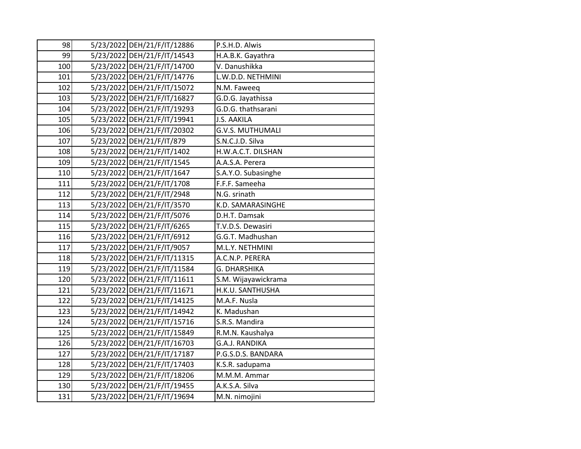| 98  | 5/23/2022 DEH/21/F/IT/12886 | P.S.H.D. Alwis          |
|-----|-----------------------------|-------------------------|
| 99  | 5/23/2022 DEH/21/F/IT/14543 | H.A.B.K. Gayathra       |
| 100 | 5/23/2022 DEH/21/F/IT/14700 | V. Danushikka           |
| 101 | 5/23/2022 DEH/21/F/IT/14776 | L.W.D.D. NETHMINI       |
| 102 | 5/23/2022 DEH/21/F/IT/15072 | N.M. Faweeq             |
| 103 | 5/23/2022 DEH/21/F/IT/16827 | G.D.G. Jayathissa       |
| 104 | 5/23/2022 DEH/21/F/IT/19293 | G.D.G. thathsarani      |
| 105 | 5/23/2022 DEH/21/F/IT/19941 | <b>J.S. AAKILA</b>      |
| 106 | 5/23/2022 DEH/21/F/IT/20302 | <b>G.V.S. MUTHUMALI</b> |
| 107 | 5/23/2022 DEH/21/F/IT/879   | S.N.C.J.D. Silva        |
| 108 | 5/23/2022 DEH/21/F/IT/1402  | H.W.A.C.T. DILSHAN      |
| 109 | 5/23/2022 DEH/21/F/IT/1545  | A.A.S.A. Perera         |
| 110 | 5/23/2022 DEH/21/F/IT/1647  | S.A.Y.O. Subasinghe     |
| 111 | 5/23/2022 DEH/21/F/IT/1708  | F.F.F. Sameeha          |
| 112 | 5/23/2022 DEH/21/F/IT/2948  | N.G. srinath            |
| 113 | 5/23/2022 DEH/21/F/IT/3570  | K.D. SAMARASINGHE       |
| 114 | 5/23/2022 DEH/21/F/IT/5076  | D.H.T. Damsak           |
| 115 | 5/23/2022 DEH/21/F/IT/6265  | T.V.D.S. Dewasiri       |
| 116 | 5/23/2022 DEH/21/F/IT/6912  | G.G.T. Madhushan        |
| 117 | 5/23/2022 DEH/21/F/IT/9057  | M.L.Y. NETHMINI         |
| 118 | 5/23/2022 DEH/21/F/IT/11315 | A.C.N.P. PERERA         |
| 119 | 5/23/2022 DEH/21/F/IT/11584 | G. DHARSHIKA            |
| 120 | 5/23/2022 DEH/21/F/IT/11611 | S.M. Wijayawickrama     |
| 121 | 5/23/2022 DEH/21/F/IT/11671 | H.K.U. SANTHUSHA        |
| 122 | 5/23/2022 DEH/21/F/IT/14125 | M.A.F. Nusla            |
| 123 | 5/23/2022 DEH/21/F/IT/14942 | K. Madushan             |
| 124 | 5/23/2022 DEH/21/F/IT/15716 | S.R.S. Mandira          |
| 125 | 5/23/2022 DEH/21/F/IT/15849 | R.M.N. Kaushalya        |
| 126 | 5/23/2022 DEH/21/F/IT/16703 | G.A.J. RANDIKA          |
| 127 | 5/23/2022 DEH/21/F/IT/17187 | P.G.S.D.S. BANDARA      |
| 128 | 5/23/2022 DEH/21/F/IT/17403 | K.S.R. sadupama         |
| 129 | 5/23/2022 DEH/21/F/IT/18206 | M.M.M. Ammar            |
| 130 | 5/23/2022 DEH/21/F/IT/19455 | A.K.S.A. Silva          |
| 131 | 5/23/2022 DEH/21/F/IT/19694 | M.N. nimojini           |